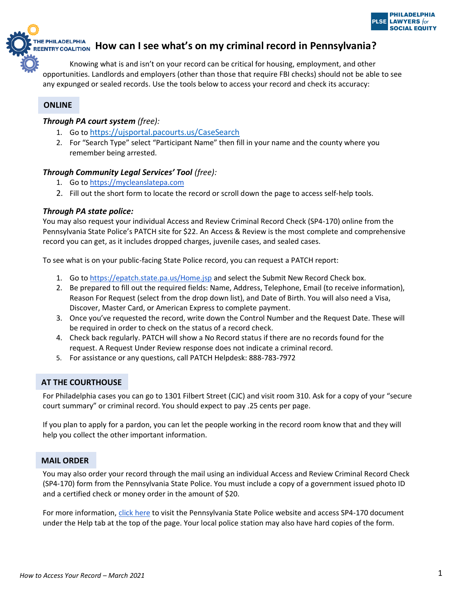

**HEPHILADELPHIA**<br>EENTRY COALITION HOW Can I see what's on my criminal record in Pennsylvania?

Knowing what is and isn't on your record can be critical for housing, employment, and other opportunities. Landlords and employers (other than those that require FBI checks) should not be able to see any expunged or sealed records. Use the tools below to access your record and check its accuracy:

# **ONLINE**

# *Through PA court system (free):*

- 1. Go to <https://ujsportal.pacourts.us/CaseSearch>
- 2. For "Search Type" select "Participant Name" then fill in your name and the county where you remember being arrested.

# *Through Community Legal Services' Tool (free):*

- 1. Go to [https://mycleanslatepa.com](https://mycleanslatepa.com/get-help-with-your-criminal-record-automation/)
- 2. Fill out the short form to locate the record or scroll down the page to access self-help tools.

# *Through PA state police:*

You may also request your individual Access and Review Criminal Record Check (SP4-170) online from the Pennsylvania State Police's PATCH site for \$22. An Access & Review is the most complete and comprehensive record you can get, as it includes dropped charges, juvenile cases, and sealed cases.

To see what is on your public-facing State Police record, you can request a PATCH report:

- 1. Go to<https://epatch.state.pa.us/Home.jsp> and select the Submit New Record Check box.
- 2. Be prepared to fill out the required fields: Name, Address, Telephone, Email (to receive information), Reason For Request (select from the drop down list), and Date of Birth. You will also need a Visa, Discover, Master Card, or American Express to complete payment.
- 3. Once you've requested the record, write down the Control Number and the Request Date. These will be required in order to check on the status of a record check.
- 4. Check back regularly. PATCH will show a No Record status if there are no records found for the request. A Request Under Review response does not indicate a criminal record.
- 5. For assistance or any questions, call PATCH Helpdesk: 888-783-7972

# **AT THE COURTHOUSE**

For Philadelphia cases you can go to 1301 Filbert Street (CJC) and visit room 310. Ask for a copy of your "secure court summary" or criminal record. You should expect to pay .25 cents per page.

If you plan to apply for a pardon, you can let the people working in the record room know that and they will help you collect the other important information.

# **MAIL ORDER**

You may also order your record through the mail using an individual Access and Review Criminal Record Check (SP4-170) form from the Pennsylvania State Police. You must include a copy of a government issued photo ID and a certified check or money order in the amount of \$20.

For more information, [click here](https://epatch.state.pa.us/Home.jsp) to visit the Pennsylvania State Police website and access SP4-170 document under the Help tab at the top of the page. Your local police station may also have hard copies of the form.